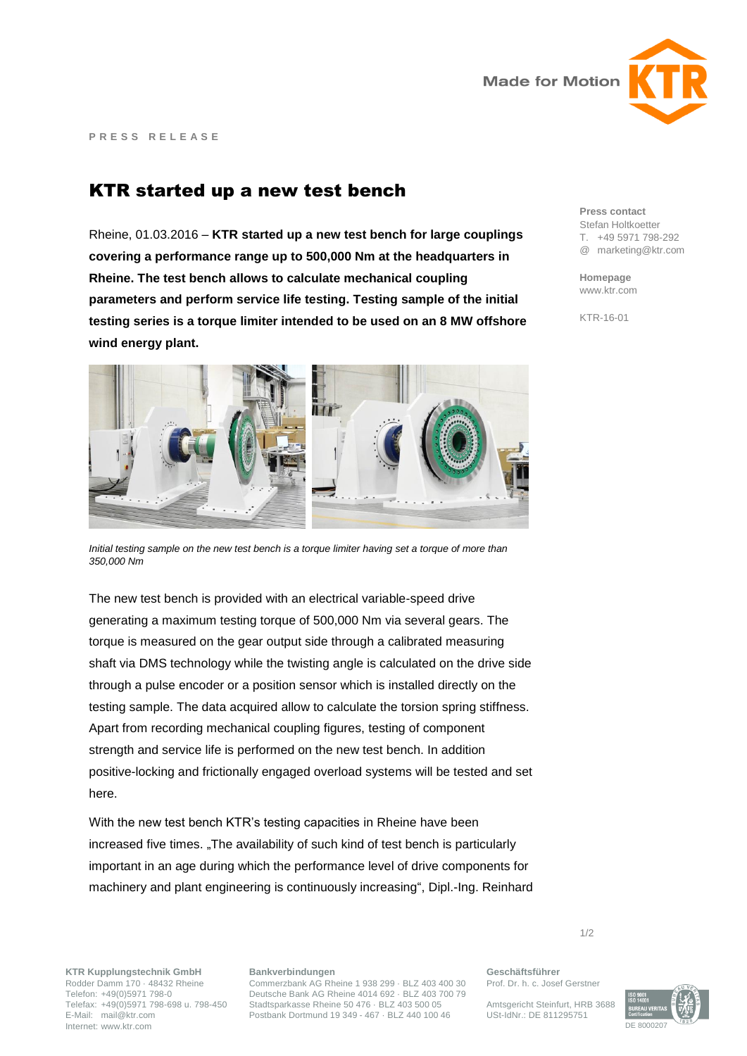

## KTR started up a new test bench

Rheine, 01.03.2016 – **KTR started up a new test bench for large couplings covering a performance range up to 500,000 Nm at the headquarters in Rheine. The test bench allows to calculate mechanical coupling parameters and perform service life testing. Testing sample of the initial testing series is a torque limiter intended to be used on an 8 MW offshore wind energy plant.**



*Initial testing sample on the new test bench is a torque limiter having set a torque of more than 350,000 Nm* 

The new test bench is provided with an electrical variable-speed drive generating a maximum testing torque of 500,000 Nm via several gears. The torque is measured on the gear output side through a calibrated measuring shaft via DMS technology while the twisting angle is calculated on the drive side through a pulse encoder or a position sensor which is installed directly on the testing sample. The data acquired allow to calculate the torsion spring stiffness. Apart from recording mechanical coupling figures, testing of component strength and service life is performed on the new test bench. In addition positive-locking and frictionally engaged overload systems will be tested and set here.

With the new test bench KTR's testing capacities in Rheine have been increased five times. "The availability of such kind of test bench is particularly important in an age during which the performance level of drive components for machinery and plant engineering is continuously increasing", Dipl.-Ing. Reinhard **Press contact** Stefan Holtkoetter T. +49 5971 798-292 @ marketing@ktr.com

**Homepage** www.ktr.com

KTR-16-01

**KTR Kupplungstechnik GmbH** Rodder Damm 170 · 48432 Rheine Telefon: +49(0)5971 798-0 Telefax: +49(0)5971 798-698 u. 798-450 E-Mail: mail@ktr.com Internet: www.ktr.com

## **Bankverbindungen**

Commerzbank AG Rheine 1 938 299 · BLZ 403 400 30 Deutsche Bank AG Rheine 4014 692 · BLZ 403 700 79 Stadtsparkasse Rheine 50 476 · BLZ 403 500 05 Postbank Dortmund 19 349 - 467 · BLZ 440 100 46

**Geschäftsführer**

1/2

Prof. Dr. h. c. Josef Gerstner

Amtsgericht Steinfurt, HRB 3688 USt-IdNr.: DE 811295751